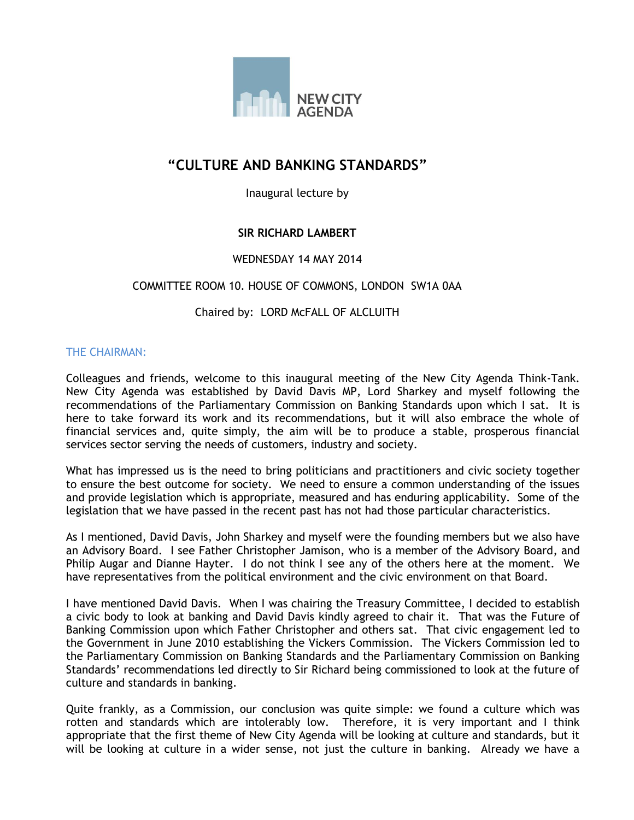

# **"CULTURE AND BANKING STANDARDS"**

Inaugural lecture by

## **SIR RICHARD LAMBERT**

## WEDNESDAY 14 MAY 2014

## COMMITTEE ROOM 10. HOUSE OF COMMONS, LONDON SW1A 0AA

### Chaired by: LORD McFALL OF ALCLUITH

### THE CHAIRMAN:

Colleagues and friends, welcome to this inaugural meeting of the New City Agenda Think-Tank. New City Agenda was established by David Davis MP, Lord Sharkey and myself following the recommendations of the Parliamentary Commission on Banking Standards upon which I sat. It is here to take forward its work and its recommendations, but it will also embrace the whole of financial services and, quite simply, the aim will be to produce a stable, prosperous financial services sector serving the needs of customers, industry and society.

What has impressed us is the need to bring politicians and practitioners and civic society together to ensure the best outcome for society. We need to ensure a common understanding of the issues and provide legislation which is appropriate, measured and has enduring applicability. Some of the legislation that we have passed in the recent past has not had those particular characteristics.

As I mentioned, David Davis, John Sharkey and myself were the founding members but we also have an Advisory Board. I see Father Christopher Jamison, who is a member of the Advisory Board, and Philip Augar and Dianne Hayter. I do not think I see any of the others here at the moment. We have representatives from the political environment and the civic environment on that Board.

I have mentioned David Davis. When I was chairing the Treasury Committee, I decided to establish a civic body to look at banking and David Davis kindly agreed to chair it. That was the Future of Banking Commission upon which Father Christopher and others sat. That civic engagement led to the Government in June 2010 establishing the Vickers Commission. The Vickers Commission led to the Parliamentary Commission on Banking Standards and the Parliamentary Commission on Banking Standards' recommendations led directly to Sir Richard being commissioned to look at the future of culture and standards in banking.

Quite frankly, as a Commission, our conclusion was quite simple: we found a culture which was rotten and standards which are intolerably low. Therefore, it is very important and I think appropriate that the first theme of New City Agenda will be looking at culture and standards, but it will be looking at culture in a wider sense, not just the culture in banking. Already we have a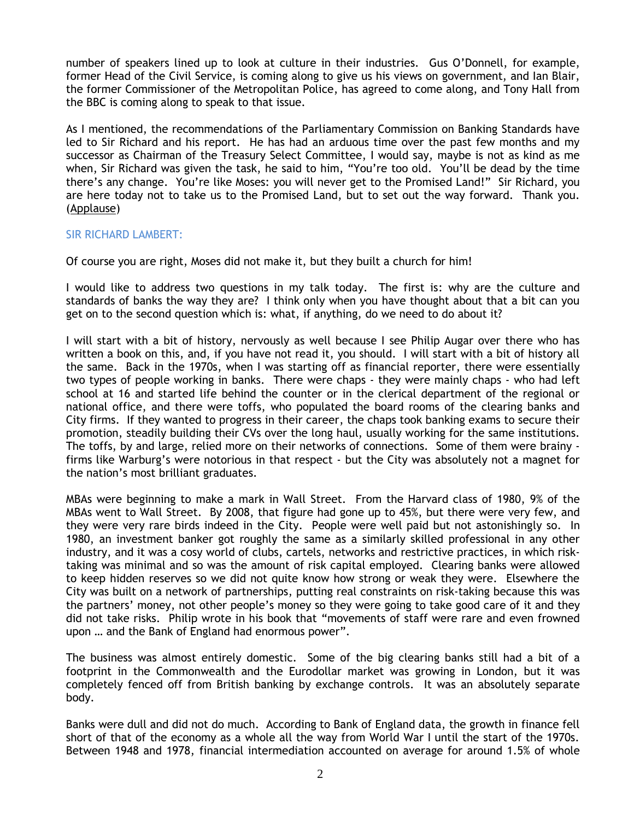number of speakers lined up to look at culture in their industries. Gus O'Donnell, for example, former Head of the Civil Service, is coming along to give us his views on government, and Ian Blair, the former Commissioner of the Metropolitan Police, has agreed to come along, and Tony Hall from the BBC is coming along to speak to that issue.

As I mentioned, the recommendations of the Parliamentary Commission on Banking Standards have led to Sir Richard and his report. He has had an arduous time over the past few months and my successor as Chairman of the Treasury Select Committee, I would say, maybe is not as kind as me when, Sir Richard was given the task, he said to him, "You're too old. You'll be dead by the time there's any change. You're like Moses: you will never get to the Promised Land!" Sir Richard, you are here today not to take us to the Promised Land, but to set out the way forward. Thank you. (Applause)

#### SIR RICHARD LAMBERT:

Of course you are right, Moses did not make it, but they built a church for him!

I would like to address two questions in my talk today. The first is: why are the culture and standards of banks the way they are? I think only when you have thought about that a bit can you get on to the second question which is: what, if anything, do we need to do about it?

I will start with a bit of history, nervously as well because I see Philip Augar over there who has written a book on this, and, if you have not read it, you should. I will start with a bit of history all the same. Back in the 1970s, when I was starting off as financial reporter, there were essentially two types of people working in banks. There were chaps - they were mainly chaps - who had left school at 16 and started life behind the counter or in the clerical department of the regional or national office, and there were toffs, who populated the board rooms of the clearing banks and City firms. If they wanted to progress in their career, the chaps took banking exams to secure their promotion, steadily building their CVs over the long haul, usually working for the same institutions. The toffs, by and large, relied more on their networks of connections. Some of them were brainy firms like Warburg's were notorious in that respect - but the City was absolutely not a magnet for the nation's most brilliant graduates.

MBAs were beginning to make a mark in Wall Street. From the Harvard class of 1980, 9% of the MBAs went to Wall Street. By 2008, that figure had gone up to 45%, but there were very few, and they were very rare birds indeed in the City. People were well paid but not astonishingly so. In 1980, an investment banker got roughly the same as a similarly skilled professional in any other industry, and it was a cosy world of clubs, cartels, networks and restrictive practices, in which risktaking was minimal and so was the amount of risk capital employed. Clearing banks were allowed to keep hidden reserves so we did not quite know how strong or weak they were. Elsewhere the City was built on a network of partnerships, putting real constraints on risk-taking because this was the partners' money, not other people's money so they were going to take good care of it and they did not take risks. Philip wrote in his book that "movements of staff were rare and even frowned upon … and the Bank of England had enormous power".

The business was almost entirely domestic. Some of the big clearing banks still had a bit of a footprint in the Commonwealth and the Eurodollar market was growing in London, but it was completely fenced off from British banking by exchange controls. It was an absolutely separate body.

Banks were dull and did not do much. According to Bank of England data, the growth in finance fell short of that of the economy as a whole all the way from World War I until the start of the 1970s. Between 1948 and 1978, financial intermediation accounted on average for around 1.5% of whole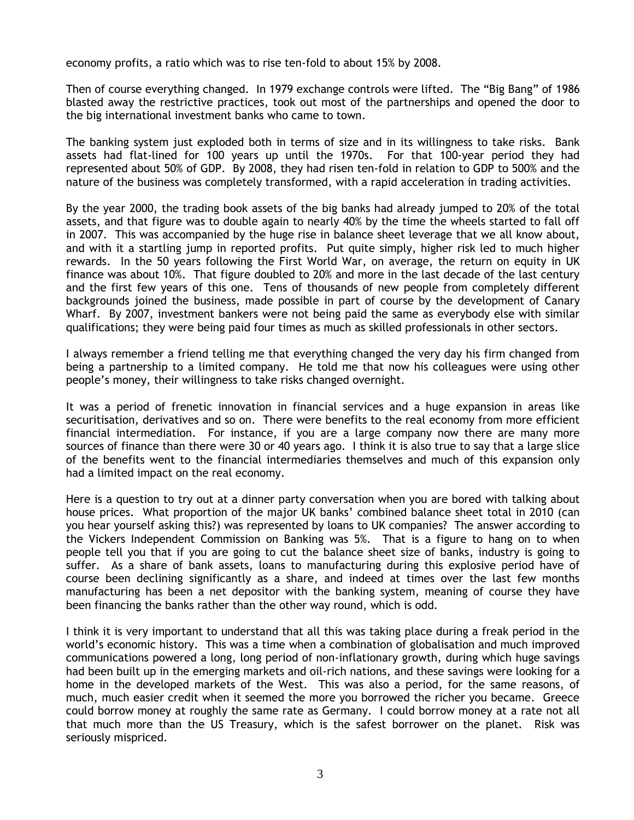economy profits, a ratio which was to rise ten-fold to about 15% by 2008.

Then of course everything changed. In 1979 exchange controls were lifted. The "Big Bang" of 1986 blasted away the restrictive practices, took out most of the partnerships and opened the door to the big international investment banks who came to town.

The banking system just exploded both in terms of size and in its willingness to take risks. Bank assets had flat-lined for 100 years up until the 1970s. For that 100-year period they had represented about 50% of GDP. By 2008, they had risen ten-fold in relation to GDP to 500% and the nature of the business was completely transformed, with a rapid acceleration in trading activities.

By the year 2000, the trading book assets of the big banks had already jumped to 20% of the total assets, and that figure was to double again to nearly 40% by the time the wheels started to fall off in 2007. This was accompanied by the huge rise in balance sheet leverage that we all know about, and with it a startling jump in reported profits. Put quite simply, higher risk led to much higher rewards. In the 50 years following the First World War, on average, the return on equity in UK finance was about 10%. That figure doubled to 20% and more in the last decade of the last century and the first few years of this one. Tens of thousands of new people from completely different backgrounds joined the business, made possible in part of course by the development of Canary Wharf. By 2007, investment bankers were not being paid the same as everybody else with similar qualifications; they were being paid four times as much as skilled professionals in other sectors.

I always remember a friend telling me that everything changed the very day his firm changed from being a partnership to a limited company. He told me that now his colleagues were using other people's money, their willingness to take risks changed overnight.

It was a period of frenetic innovation in financial services and a huge expansion in areas like securitisation, derivatives and so on. There were benefits to the real economy from more efficient financial intermediation. For instance, if you are a large company now there are many more sources of finance than there were 30 or 40 years ago. I think it is also true to say that a large slice of the benefits went to the financial intermediaries themselves and much of this expansion only had a limited impact on the real economy.

Here is a question to try out at a dinner party conversation when you are bored with talking about house prices. What proportion of the major UK banks' combined balance sheet total in 2010 (can you hear yourself asking this?) was represented by loans to UK companies? The answer according to the Vickers Independent Commission on Banking was 5%. That is a figure to hang on to when people tell you that if you are going to cut the balance sheet size of banks, industry is going to suffer. As a share of bank assets, loans to manufacturing during this explosive period have of course been declining significantly as a share, and indeed at times over the last few months manufacturing has been a net depositor with the banking system, meaning of course they have been financing the banks rather than the other way round, which is odd.

I think it is very important to understand that all this was taking place during a freak period in the world's economic history. This was a time when a combination of globalisation and much improved communications powered a long, long period of non-inflationary growth, during which huge savings had been built up in the emerging markets and oil-rich nations, and these savings were looking for a home in the developed markets of the West. This was also a period, for the same reasons, of much, much easier credit when it seemed the more you borrowed the richer you became. Greece could borrow money at roughly the same rate as Germany. I could borrow money at a rate not all that much more than the US Treasury, which is the safest borrower on the planet. Risk was seriously mispriced.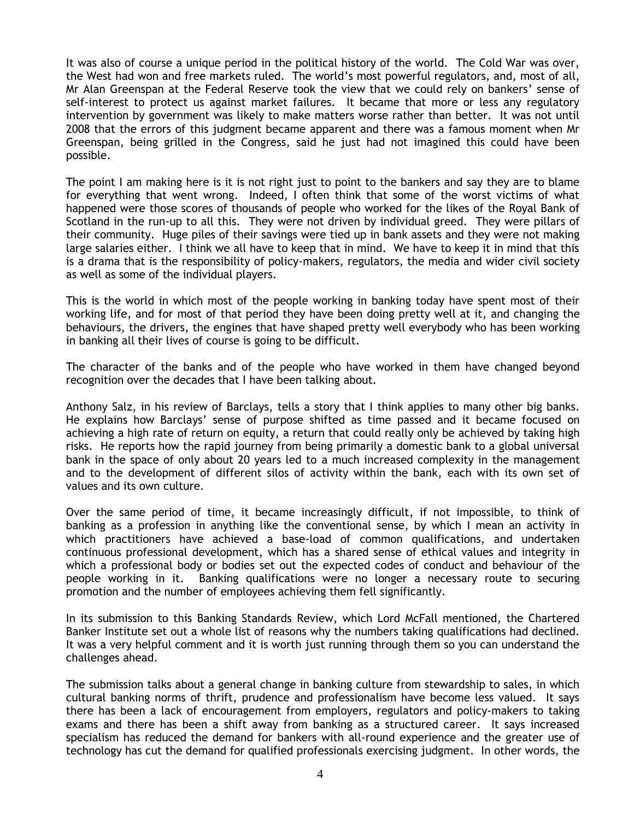It was also of course a unique period in the political history of the world. The Cold War was over, the West had won and free markets ruled. The world's most powerful regulators, and, most of all, Mr Alan Greenspan at the Federal Reserve took the view that we could rely on bankers' sense of self-interest to protect us against market failures. It became that more or less any regulatory intervention by government was likely to make matters worse rather than better. It was not until 2008 that the errors of this judgment became apparent and there was a famous moment when Mr Greenspan, being grilled in the Congress, said he just had not imagined this could have been possible.

The point I am making here is it is not right just to point to the bankers and say they are to blame for everything that went wrong. Indeed, I often think that some of the worst victims of what happened were those scores of thousands of people who worked for the likes of the Royal Bank of Scotland in the run-up to all this. They were not driven by individual greed. They were pillars of their community. Huge piles of their savings were tied up in bank assets and they were not making large salaries either. I think we all have to keep that in mind. We have to keep it in mind that this is a drama that is the responsibility of policy-makers, regulators, the media and wider civil society as well as some of the individual players.

This is the world in which most of the people working in banking today have spent most of their working life, and for most of that period they have been doing pretty well at it, and changing the behaviours, the drivers, the engines that have shaped pretty well everybody who has been working in banking all their lives of course is going to be difficult.

The character of the banks and of the people who have worked in them have changed beyond recognition over the decades that I have been talking about.

Anthony Salz, in his review of Barclays, tells a story that I think applies to many other big banks. He explains how Barclays' sense of purpose shifted as time passed and it became focused on achieving a high rate of return on equity, a return that could really only be achieved by taking high risks. He reports how the rapid journey from being primarily a domestic bank to a global universal bank in the space of only about 20 years led to a much increased complexity in the management and to the development of different silos of activity within the bank, each with its own set of values and its own culture.

Over the same period of time, it became increasingly difficult, if not impossible, to think of banking as a profession in anything like the conventional sense, by which I mean an activity in which practitioners have achieved a base-load of common qualifications, and undertaken continuous professional development, which has a shared sense of ethical values and integrity in which a professional body or bodies set out the expected codes of conduct and behaviour of the people working in it. Banking qualifications were no longer a necessary route to securing promotion and the number of employees achieving them fell significantly.

In its submission to this Banking Standards Review, which Lord McFall mentioned, the Chartered Banker Institute set out a whole list of reasons why the numbers taking qualifications had declined. It was a very helpful comment and it is worth just running through them so you can understand the challenges ahead.

The submission talks about a general change in banking culture from stewardship to sales, in which cultural banking norms of thrift, prudence and professionalism have become less valued. It says there has been a lack of encouragement from employers, regulators and policy-makers to taking exams and there has been a shift away from banking as a structured career. It says increased specialism has reduced the demand for bankers with all-round experience and the greater use of technology has cut the demand for qualified professionals exercising judgment. In other words, the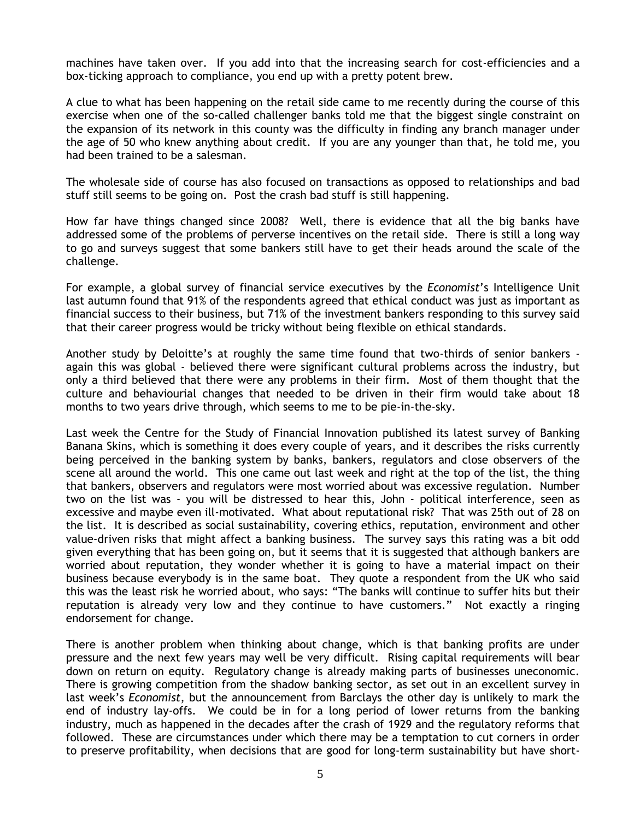machines have taken over. If you add into that the increasing search for cost-efficiencies and a box-ticking approach to compliance, you end up with a pretty potent brew.

A clue to what has been happening on the retail side came to me recently during the course of this exercise when one of the so-called challenger banks told me that the biggest single constraint on the expansion of its network in this county was the difficulty in finding any branch manager under the age of 50 who knew anything about credit. If you are any younger than that, he told me, you had been trained to be a salesman.

The wholesale side of course has also focused on transactions as opposed to relationships and bad stuff still seems to be going on. Post the crash bad stuff is still happening.

How far have things changed since 2008? Well, there is evidence that all the big banks have addressed some of the problems of perverse incentives on the retail side. There is still a long way to go and surveys suggest that some bankers still have to get their heads around the scale of the challenge.

For example, a global survey of financial service executives by the *Economist*'s Intelligence Unit last autumn found that 91% of the respondents agreed that ethical conduct was just as important as financial success to their business, but 71% of the investment bankers responding to this survey said that their career progress would be tricky without being flexible on ethical standards.

Another study by Deloitte's at roughly the same time found that two-thirds of senior bankers again this was global - believed there were significant cultural problems across the industry, but only a third believed that there were any problems in their firm. Most of them thought that the culture and behaviourial changes that needed to be driven in their firm would take about 18 months to two years drive through, which seems to me to be pie-in-the-sky.

Last week the Centre for the Study of Financial Innovation published its latest survey of Banking Banana Skins, which is something it does every couple of years, and it describes the risks currently being perceived in the banking system by banks, bankers, regulators and close observers of the scene all around the world. This one came out last week and right at the top of the list, the thing that bankers, observers and regulators were most worried about was excessive regulation. Number two on the list was - you will be distressed to hear this, John - political interference, seen as excessive and maybe even ill-motivated. What about reputational risk? That was 25th out of 28 on the list. It is described as social sustainability, covering ethics, reputation, environment and other value-driven risks that might affect a banking business. The survey says this rating was a bit odd given everything that has been going on, but it seems that it is suggested that although bankers are worried about reputation, they wonder whether it is going to have a material impact on their business because everybody is in the same boat. They quote a respondent from the UK who said this was the least risk he worried about, who says: "The banks will continue to suffer hits but their reputation is already very low and they continue to have customers." Not exactly a ringing endorsement for change.

There is another problem when thinking about change, which is that banking profits are under pressure and the next few years may well be very difficult. Rising capital requirements will bear down on return on equity. Regulatory change is already making parts of businesses uneconomic. There is growing competition from the shadow banking sector, as set out in an excellent survey in last week's *Economist*, but the announcement from Barclays the other day is unlikely to mark the end of industry lay-offs. We could be in for a long period of lower returns from the banking industry, much as happened in the decades after the crash of 1929 and the regulatory reforms that followed. These are circumstances under which there may be a temptation to cut corners in order to preserve profitability, when decisions that are good for long-term sustainability but have short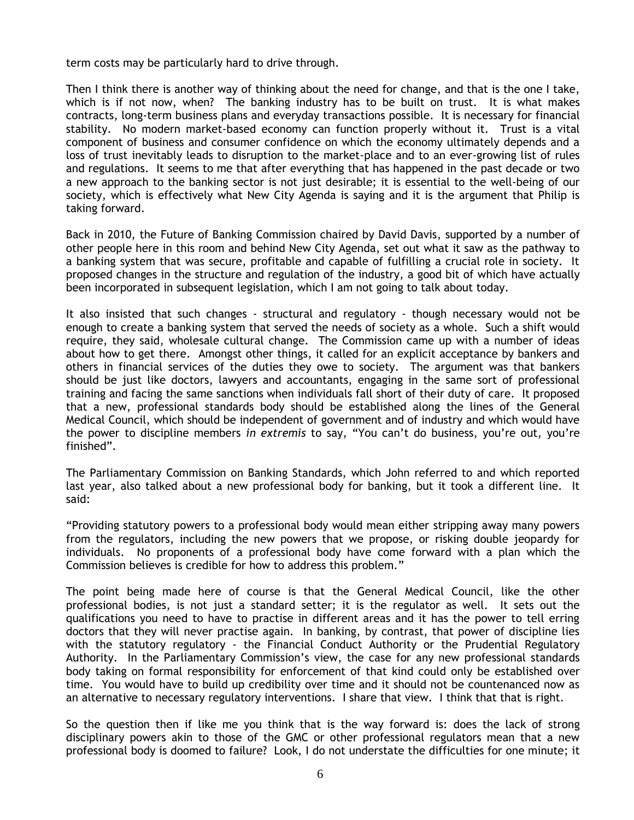term costs may be particularly hard to drive through.

Then I think there is another way of thinking about the need for change, and that is the one I take, which is if not now, when? The banking industry has to be built on trust. It is what makes contracts, long-term business plans and everyday transactions possible. It is necessary for financial stability. No modern market-based economy can function properly without it. Trust is a vital component of business and consumer confidence on which the economy ultimately depends and a loss of trust inevitably leads to disruption to the market-place and to an ever-growing list of rules and regulations. It seems to me that after everything that has happened in the past decade or two a new approach to the banking sector is not just desirable; it is essential to the well-being of our society, which is effectively what New City Agenda is saying and it is the argument that Philip is taking forward.

Back in 2010, the Future of Banking Commission chaired by David Davis, supported by a number of other people here in this room and behind New City Agenda, set out what it saw as the pathway to a banking system that was secure, profitable and capable of fulfilling a crucial role in society. It proposed changes in the structure and regulation of the industry, a good bit of which have actually been incorporated in subsequent legislation, which I am not going to talk about today.

It also insisted that such changes - structural and regulatory - though necessary would not be enough to create a banking system that served the needs of society as a whole. Such a shift would require, they said, wholesale cultural change. The Commission came up with a number of ideas about how to get there. Amongst other things, it called for an explicit acceptance by bankers and others in financial services of the duties they owe to society. The argument was that bankers should be just like doctors, lawyers and accountants, engaging in the same sort of professional training and facing the same sanctions when individuals fall short of their duty of care. It proposed that a new, professional standards body should be established along the lines of the General Medical Council, which should be independent of government and of industry and which would have the power to discipline members *in extremis* to say, "You can't do business, you're out, you're finished".

The Parliamentary Commission on Banking Standards, which John referred to and which reported last year, also talked about a new professional body for banking, but it took a different line. It said:

"Providing statutory powers to a professional body would mean either stripping away many powers from the regulators, including the new powers that we propose, or risking double jeopardy for individuals. No proponents of a professional body have come forward with a plan which the Commission believes is credible for how to address this problem."

The point being made here of course is that the General Medical Council, like the other professional bodies, is not just a standard setter; it is the regulator as well. It sets out the qualifications you need to have to practise in different areas and it has the power to tell erring doctors that they will never practise again. In banking, by contrast, that power of discipline lies with the statutory regulatory - the Financial Conduct Authority or the Prudential Regulatory Authority. In the Parliamentary Commission's view, the case for any new professional standards body taking on formal responsibility for enforcement of that kind could only be established over time. You would have to build up credibility over time and it should not be countenanced now as an alternative to necessary regulatory interventions. I share that view. I think that that is right.

So the question then if like me you think that is the way forward is: does the lack of strong disciplinary powers akin to those of the GMC or other professional regulators mean that a new professional body is doomed to failure? Look, I do not understate the difficulties for one minute; it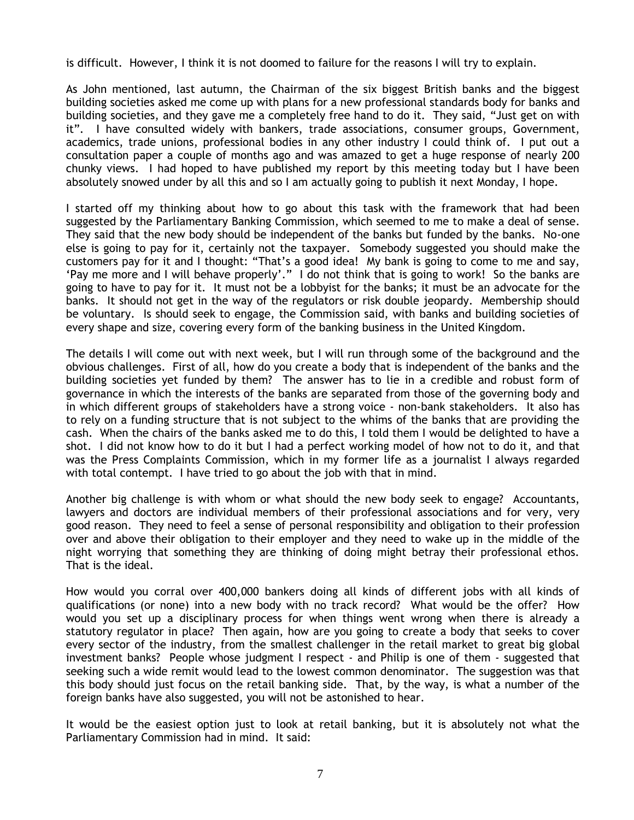is difficult. However, I think it is not doomed to failure for the reasons I will try to explain.

As John mentioned, last autumn, the Chairman of the six biggest British banks and the biggest building societies asked me come up with plans for a new professional standards body for banks and building societies, and they gave me a completely free hand to do it. They said, "Just get on with it". I have consulted widely with bankers, trade associations, consumer groups, Government, academics, trade unions, professional bodies in any other industry I could think of. I put out a consultation paper a couple of months ago and was amazed to get a huge response of nearly 200 chunky views. I had hoped to have published my report by this meeting today but I have been absolutely snowed under by all this and so I am actually going to publish it next Monday, I hope.

I started off my thinking about how to go about this task with the framework that had been suggested by the Parliamentary Banking Commission, which seemed to me to make a deal of sense. They said that the new body should be independent of the banks but funded by the banks. No-one else is going to pay for it, certainly not the taxpayer. Somebody suggested you should make the customers pay for it and I thought: "That's a good idea! My bank is going to come to me and say, 'Pay me more and I will behave properly'." I do not think that is going to work! So the banks are going to have to pay for it. It must not be a lobbyist for the banks; it must be an advocate for the banks. It should not get in the way of the regulators or risk double jeopardy. Membership should be voluntary. Is should seek to engage, the Commission said, with banks and building societies of every shape and size, covering every form of the banking business in the United Kingdom.

The details I will come out with next week, but I will run through some of the background and the obvious challenges. First of all, how do you create a body that is independent of the banks and the building societies yet funded by them? The answer has to lie in a credible and robust form of governance in which the interests of the banks are separated from those of the governing body and in which different groups of stakeholders have a strong voice - non-bank stakeholders. It also has to rely on a funding structure that is not subject to the whims of the banks that are providing the cash. When the chairs of the banks asked me to do this, I told them I would be delighted to have a shot. I did not know how to do it but I had a perfect working model of how not to do it, and that was the Press Complaints Commission, which in my former life as a journalist I always regarded with total contempt. I have tried to go about the job with that in mind.

Another big challenge is with whom or what should the new body seek to engage? Accountants, lawyers and doctors are individual members of their professional associations and for very, very good reason. They need to feel a sense of personal responsibility and obligation to their profession over and above their obligation to their employer and they need to wake up in the middle of the night worrying that something they are thinking of doing might betray their professional ethos. That is the ideal.

How would you corral over 400,000 bankers doing all kinds of different jobs with all kinds of qualifications (or none) into a new body with no track record? What would be the offer? How would you set up a disciplinary process for when things went wrong when there is already a statutory regulator in place? Then again, how are you going to create a body that seeks to cover every sector of the industry, from the smallest challenger in the retail market to great big global investment banks? People whose judgment I respect - and Philip is one of them - suggested that seeking such a wide remit would lead to the lowest common denominator. The suggestion was that this body should just focus on the retail banking side. That, by the way, is what a number of the foreign banks have also suggested, you will not be astonished to hear.

It would be the easiest option just to look at retail banking, but it is absolutely not what the Parliamentary Commission had in mind. It said: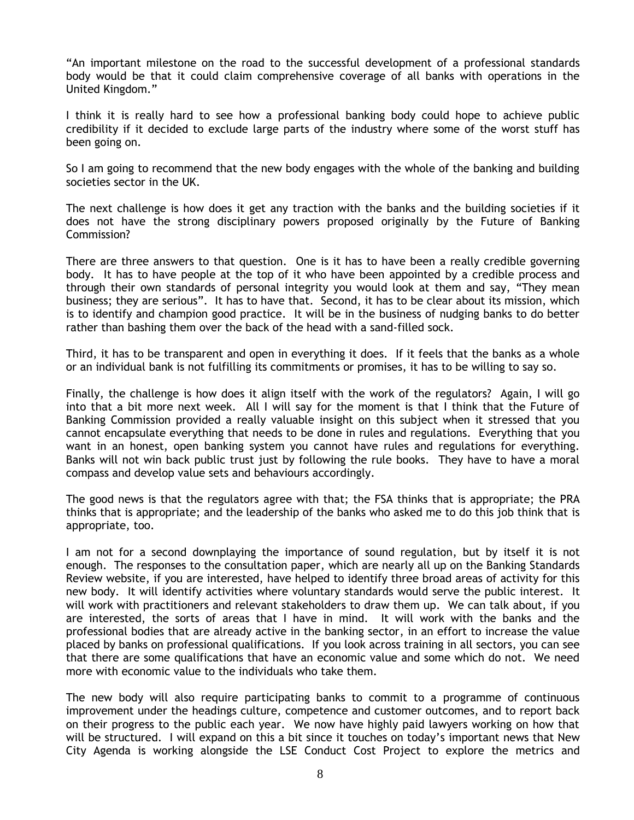"An important milestone on the road to the successful development of a professional standards body would be that it could claim comprehensive coverage of all banks with operations in the United Kingdom."

I think it is really hard to see how a professional banking body could hope to achieve public credibility if it decided to exclude large parts of the industry where some of the worst stuff has been going on.

So I am going to recommend that the new body engages with the whole of the banking and building societies sector in the UK.

The next challenge is how does it get any traction with the banks and the building societies if it does not have the strong disciplinary powers proposed originally by the Future of Banking Commission?

There are three answers to that question. One is it has to have been a really credible governing body. It has to have people at the top of it who have been appointed by a credible process and through their own standards of personal integrity you would look at them and say, "They mean business; they are serious". It has to have that. Second, it has to be clear about its mission, which is to identify and champion good practice. It will be in the business of nudging banks to do better rather than bashing them over the back of the head with a sand-filled sock.

Third, it has to be transparent and open in everything it does. If it feels that the banks as a whole or an individual bank is not fulfilling its commitments or promises, it has to be willing to say so.

Finally, the challenge is how does it align itself with the work of the regulators? Again, I will go into that a bit more next week. All I will say for the moment is that I think that the Future of Banking Commission provided a really valuable insight on this subject when it stressed that you cannot encapsulate everything that needs to be done in rules and regulations. Everything that you want in an honest, open banking system you cannot have rules and regulations for everything. Banks will not win back public trust just by following the rule books. They have to have a moral compass and develop value sets and behaviours accordingly.

The good news is that the regulators agree with that; the FSA thinks that is appropriate; the PRA thinks that is appropriate; and the leadership of the banks who asked me to do this job think that is appropriate, too.

I am not for a second downplaying the importance of sound regulation, but by itself it is not enough. The responses to the consultation paper, which are nearly all up on the Banking Standards Review website, if you are interested, have helped to identify three broad areas of activity for this new body. It will identify activities where voluntary standards would serve the public interest. It will work with practitioners and relevant stakeholders to draw them up. We can talk about, if you are interested, the sorts of areas that I have in mind. It will work with the banks and the professional bodies that are already active in the banking sector, in an effort to increase the value placed by banks on professional qualifications. If you look across training in all sectors, you can see that there are some qualifications that have an economic value and some which do not. We need more with economic value to the individuals who take them.

The new body will also require participating banks to commit to a programme of continuous improvement under the headings culture, competence and customer outcomes, and to report back on their progress to the public each year. We now have highly paid lawyers working on how that will be structured. I will expand on this a bit since it touches on today's important news that New City Agenda is working alongside the LSE Conduct Cost Project to explore the metrics and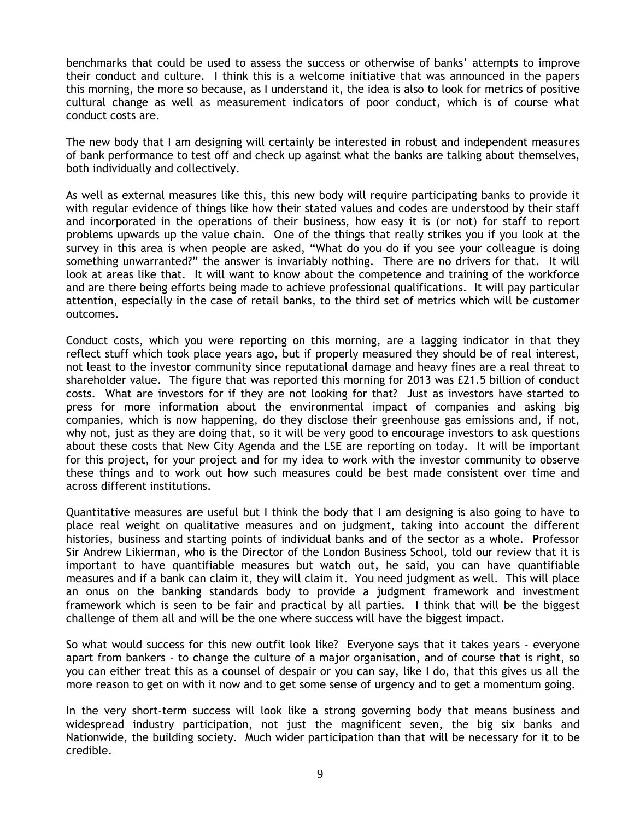benchmarks that could be used to assess the success or otherwise of banks' attempts to improve their conduct and culture. I think this is a welcome initiative that was announced in the papers this morning, the more so because, as I understand it, the idea is also to look for metrics of positive cultural change as well as measurement indicators of poor conduct, which is of course what conduct costs are.

The new body that I am designing will certainly be interested in robust and independent measures of bank performance to test off and check up against what the banks are talking about themselves, both individually and collectively.

As well as external measures like this, this new body will require participating banks to provide it with regular evidence of things like how their stated values and codes are understood by their staff and incorporated in the operations of their business, how easy it is (or not) for staff to report problems upwards up the value chain. One of the things that really strikes you if you look at the survey in this area is when people are asked, "What do you do if you see your colleague is doing something unwarranted?" the answer is invariably nothing. There are no drivers for that. It will look at areas like that. It will want to know about the competence and training of the workforce and are there being efforts being made to achieve professional qualifications. It will pay particular attention, especially in the case of retail banks, to the third set of metrics which will be customer outcomes.

Conduct costs, which you were reporting on this morning, are a lagging indicator in that they reflect stuff which took place years ago, but if properly measured they should be of real interest, not least to the investor community since reputational damage and heavy fines are a real threat to shareholder value. The figure that was reported this morning for 2013 was £21.5 billion of conduct costs. What are investors for if they are not looking for that? Just as investors have started to press for more information about the environmental impact of companies and asking big companies, which is now happening, do they disclose their greenhouse gas emissions and, if not, why not, just as they are doing that, so it will be very good to encourage investors to ask questions about these costs that New City Agenda and the LSE are reporting on today. It will be important for this project, for your project and for my idea to work with the investor community to observe these things and to work out how such measures could be best made consistent over time and across different institutions.

Quantitative measures are useful but I think the body that I am designing is also going to have to place real weight on qualitative measures and on judgment, taking into account the different histories, business and starting points of individual banks and of the sector as a whole. Professor Sir Andrew Likierman, who is the Director of the London Business School, told our review that it is important to have quantifiable measures but watch out, he said, you can have quantifiable measures and if a bank can claim it, they will claim it. You need judgment as well. This will place an onus on the banking standards body to provide a judgment framework and investment framework which is seen to be fair and practical by all parties. I think that will be the biggest challenge of them all and will be the one where success will have the biggest impact.

So what would success for this new outfit look like? Everyone says that it takes years - everyone apart from bankers - to change the culture of a major organisation, and of course that is right, so you can either treat this as a counsel of despair or you can say, like I do, that this gives us all the more reason to get on with it now and to get some sense of urgency and to get a momentum going.

In the very short-term success will look like a strong governing body that means business and widespread industry participation, not just the magnificent seven, the big six banks and Nationwide, the building society. Much wider participation than that will be necessary for it to be credible.